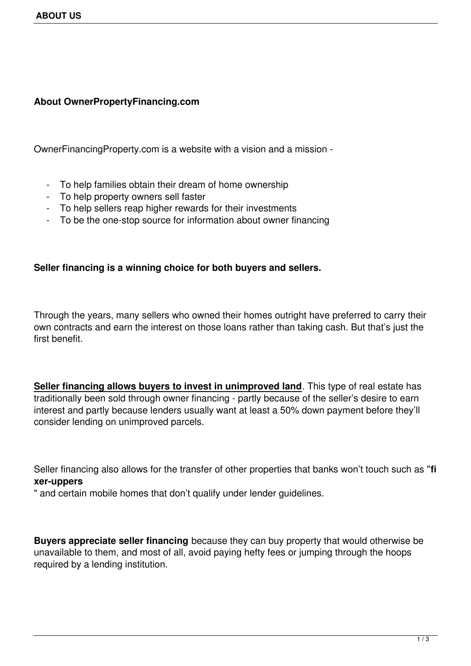## **About OwnerPropertyFinancing.com**

OwnerFinancingProperty.com is a website with a vision and a mission -

- To help families obtain their dream of home ownership
- To help property owners sell faster
- To help sellers reap higher rewards for their investments
- To be the one-stop source for information about owner financing

## **Seller financing is a winning choice for both buyers and sellers.**

Through the years, many sellers who owned their homes outright have preferred to carry their own contracts and earn the interest on those loans rather than taking cash. But that's just the first benefit.

**Seller financing allows buyers to invest in unimproved land**. This type of real estate has traditionally been sold through owner financing - partly because of the seller's desire to earn interest and partly because lenders usually want at least a 50% down payment before they'll consider lending on unimproved parcels.

Seller financing also allows for the transfer of other properties that banks won't touch such as "**fi xer-uppers**

" and certain mobile homes that don't qualify under lender guidelines.

**Buyers appreciate seller financing** because they can buy property that would otherwise be unavailable to them, and most of all, avoid paying hefty fees or jumping through the hoops required by a lending institution.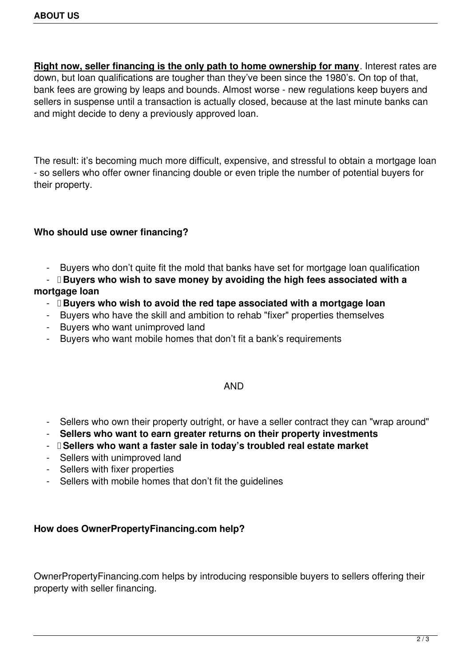**Right now, seller financing is the only path to home ownership for many**. Interest rates are down, but loan qualifications are tougher than they've been since the 1980's. On top of that, bank fees are growing by leaps and bounds. Almost worse - new regulations keep buyers and sellers in suspense until a transaction is actually closed, because at the last minute banks can and might decide to deny a previously approved loan.

The result: it's becoming much more difficult, expensive, and stressful to obtain a mortgage loan - so sellers who offer owner financing double or even triple the number of potential buyers for their property.

# **Who should use owner financing?**

- Buyers who don't quite fit the mold that banks have set for mortgage loan qualification
- **Buyers who wish to save money by avoiding the high fees associated with a**

# **mortgage loan**

- **Buyers who wish to avoid the red tape associated with a mortgage loan**
- Buyers who have the skill and ambition to rehab "fixer" properties themselves
- Buyers who want unimproved land
- Buyers who want mobile homes that don't fit a bank's requirements

# AND

- Sellers who own their property outright, or have a seller contract they can "wrap around"
- **Sellers who want to earn greater returns on their property investments**
- **Sellers who want a faster sale in today's troubled real estate market**
- Sellers with unimproved land
- Sellers with fixer properties
- Sellers with mobile homes that don't fit the guidelines

#### **How does OwnerPropertyFinancing.com help?**

OwnerPropertyFinancing.com helps by introducing responsible buyers to sellers offering their property with seller financing.